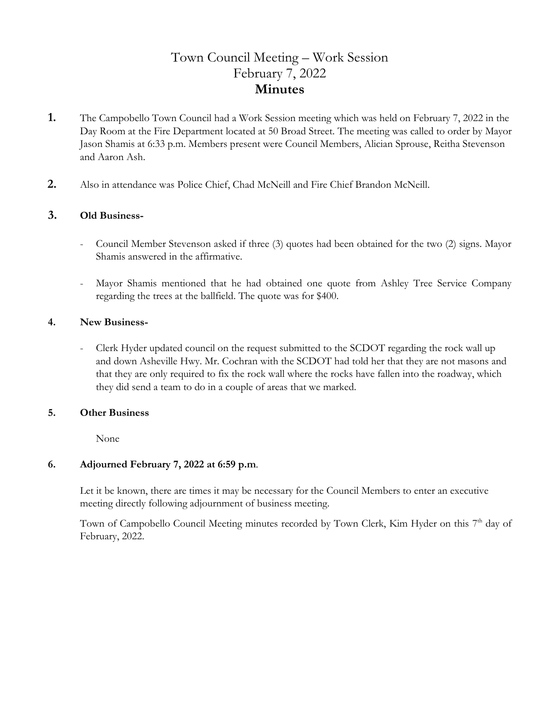# Town Council Meeting – Work Session February 7, 2022 **Minutes**

- **1.** The Campobello Town Council had a Work Session meeting which was held on February 7, 2022 in the Day Room at the Fire Department located at 50 Broad Street. The meeting was called to order by Mayor Jason Shamis at 6:33 p.m. Members present were Council Members, Alician Sprouse, Reitha Stevenson and Aaron Ash.
- **2.** Also in attendance was Police Chief, Chad McNeill and Fire Chief Brandon McNeill.

### **3. Old Business-**

- Council Member Stevenson asked if three (3) quotes had been obtained for the two (2) signs. Mayor Shamis answered in the affirmative.
- Mayor Shamis mentioned that he had obtained one quote from Ashley Tree Service Company regarding the trees at the ballfield. The quote was for \$400.

### **4. New Business-**

Clerk Hyder updated council on the request submitted to the SCDOT regarding the rock wall up and down Asheville Hwy. Mr. Cochran with the SCDOT had told her that they are not masons and that they are only required to fix the rock wall where the rocks have fallen into the roadway, which they did send a team to do in a couple of areas that we marked.

### **5. Other Business**

None

### **6. Adjourned February 7, 2022 at 6:59 p.m**.

 Let it be known, there are times it may be necessary for the Council Members to enter an executive meeting directly following adjournment of business meeting.

Town of Campobello Council Meeting minutes recorded by Town Clerk, Kim Hyder on this 7<sup>th</sup> day of February, 2022.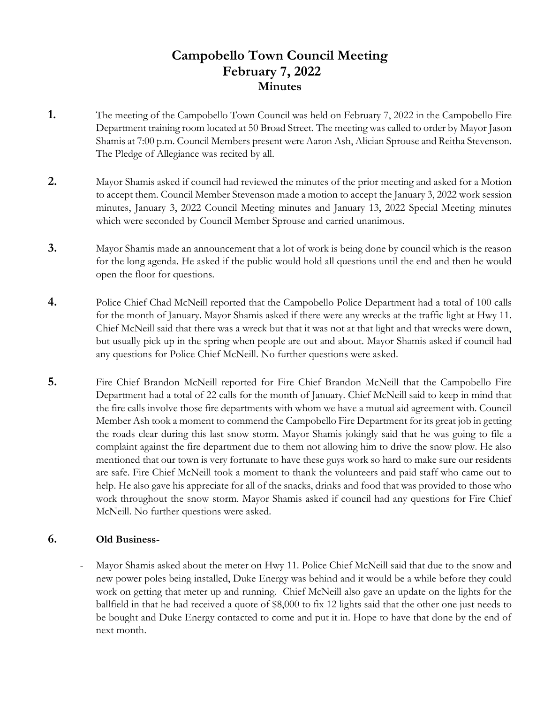## **Campobello Town Council Meeting February 7, 2022 Minutes**

- **1.** The meeting of the Campobello Town Council was held on February 7, 2022 in the Campobello Fire Department training room located at 50 Broad Street. The meeting was called to order by Mayor Jason Shamis at 7:00 p.m. Council Members present were Aaron Ash, Alician Sprouse and Reitha Stevenson. The Pledge of Allegiance was recited by all.
- **2.** Mayor Shamis asked if council had reviewed the minutes of the prior meeting and asked for a Motion to accept them. Council Member Stevenson made a motion to accept the January 3, 2022 work session minutes, January 3, 2022 Council Meeting minutes and January 13, 2022 Special Meeting minutes which were seconded by Council Member Sprouse and carried unanimous.
- **3.** Mayor Shamis made an announcement that a lot of work is being done by council which is the reason for the long agenda. He asked if the public would hold all questions until the end and then he would open the floor for questions.
- **4.** Police Chief Chad McNeill reported that the Campobello Police Department had a total of 100 calls for the month of January. Mayor Shamis asked if there were any wrecks at the traffic light at Hwy 11. Chief McNeill said that there was a wreck but that it was not at that light and that wrecks were down, but usually pick up in the spring when people are out and about. Mayor Shamis asked if council had any questions for Police Chief McNeill. No further questions were asked.
- **5.** Fire Chief Brandon McNeill reported for Fire Chief Brandon McNeill that the Campobello Fire Department had a total of 22 calls for the month of January. Chief McNeill said to keep in mind that the fire calls involve those fire departments with whom we have a mutual aid agreement with. Council Member Ash took a moment to commend the Campobello Fire Department for its great job in getting the roads clear during this last snow storm. Mayor Shamis jokingly said that he was going to file a complaint against the fire department due to them not allowing him to drive the snow plow. He also mentioned that our town is very fortunate to have these guys work so hard to make sure our residents are safe. Fire Chief McNeill took a moment to thank the volunteers and paid staff who came out to help. He also gave his appreciate for all of the snacks, drinks and food that was provided to those who work throughout the snow storm. Mayor Shamis asked if council had any questions for Fire Chief McNeill. No further questions were asked.

## **6. Old Business-**

Mayor Shamis asked about the meter on Hwy 11. Police Chief McNeill said that due to the snow and new power poles being installed, Duke Energy was behind and it would be a while before they could work on getting that meter up and running. Chief McNeill also gave an update on the lights for the ballfield in that he had received a quote of \$8,000 to fix 12 lights said that the other one just needs to be bought and Duke Energy contacted to come and put it in. Hope to have that done by the end of next month.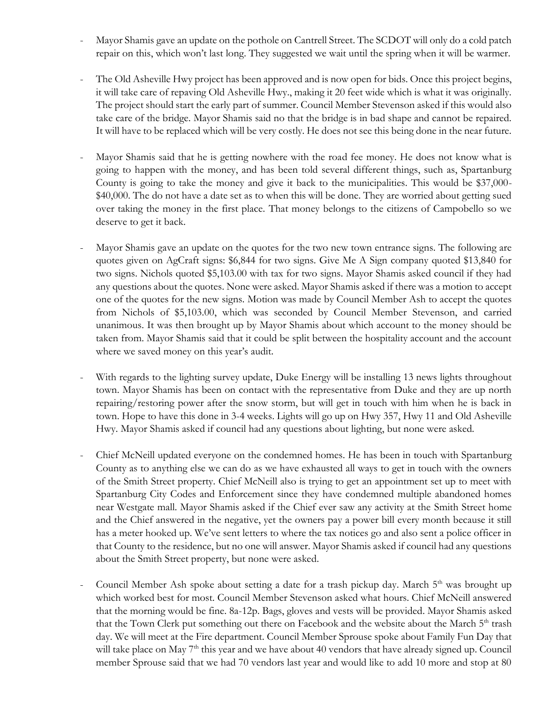- Mayor Shamis gave an update on the pothole on Cantrell Street. The SCDOT will only do a cold patch repair on this, which won't last long. They suggested we wait until the spring when it will be warmer.
- The Old Asheville Hwy project has been approved and is now open for bids. Once this project begins, it will take care of repaving Old Asheville Hwy., making it 20 feet wide which is what it was originally. The project should start the early part of summer. Council Member Stevenson asked if this would also take care of the bridge. Mayor Shamis said no that the bridge is in bad shape and cannot be repaired. It will have to be replaced which will be very costly. He does not see this being done in the near future.
- Mayor Shamis said that he is getting nowhere with the road fee money. He does not know what is going to happen with the money, and has been told several different things, such as, Spartanburg County is going to take the money and give it back to the municipalities. This would be \$37,000- \$40,000. The do not have a date set as to when this will be done. They are worried about getting sued over taking the money in the first place. That money belongs to the citizens of Campobello so we deserve to get it back.
- Mayor Shamis gave an update on the quotes for the two new town entrance signs. The following are quotes given on AgCraft signs: \$6,844 for two signs. Give Me A Sign company quoted \$13,840 for two signs. Nichols quoted \$5,103.00 with tax for two signs. Mayor Shamis asked council if they had any questions about the quotes. None were asked. Mayor Shamis asked if there was a motion to accept one of the quotes for the new signs. Motion was made by Council Member Ash to accept the quotes from Nichols of \$5,103.00, which was seconded by Council Member Stevenson, and carried unanimous. It was then brought up by Mayor Shamis about which account to the money should be taken from. Mayor Shamis said that it could be split between the hospitality account and the account where we saved money on this year's audit.
- With regards to the lighting survey update, Duke Energy will be installing 13 news lights throughout town. Mayor Shamis has been on contact with the representative from Duke and they are up north repairing/restoring power after the snow storm, but will get in touch with him when he is back in town. Hope to have this done in 3-4 weeks. Lights will go up on Hwy 357, Hwy 11 and Old Asheville Hwy. Mayor Shamis asked if council had any questions about lighting, but none were asked.
- Chief McNeill updated everyone on the condemned homes. He has been in touch with Spartanburg County as to anything else we can do as we have exhausted all ways to get in touch with the owners of the Smith Street property. Chief McNeill also is trying to get an appointment set up to meet with Spartanburg City Codes and Enforcement since they have condemned multiple abandoned homes near Westgate mall. Mayor Shamis asked if the Chief ever saw any activity at the Smith Street home and the Chief answered in the negative, yet the owners pay a power bill every month because it still has a meter hooked up. We've sent letters to where the tax notices go and also sent a police officer in that County to the residence, but no one will answer. Mayor Shamis asked if council had any questions about the Smith Street property, but none were asked.
- Council Member Ash spoke about setting a date for a trash pickup day. March  $5<sup>th</sup>$  was brought up which worked best for most. Council Member Stevenson asked what hours. Chief McNeill answered that the morning would be fine. 8a-12p. Bags, gloves and vests will be provided. Mayor Shamis asked that the Town Clerk put something out there on Facebook and the website about the March  $5<sup>th</sup>$  trash day. We will meet at the Fire department. Council Member Sprouse spoke about Family Fun Day that will take place on May 7<sup>th</sup> this year and we have about 40 vendors that have already signed up. Council member Sprouse said that we had 70 vendors last year and would like to add 10 more and stop at 80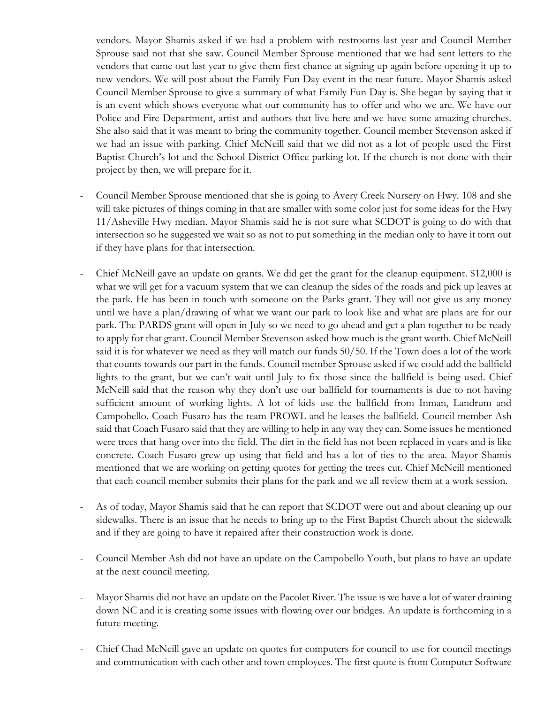vendors. Mayor Shamis asked if we had a problem with restrooms last year and Council Member Sprouse said not that she saw. Council Member Sprouse mentioned that we had sent letters to the vendors that came out last year to give them first chance at signing up again before opening it up to new vendors. We will post about the Family Fun Day event in the near future. Mayor Shamis asked Council Member Sprouse to give a summary of what Family Fun Day is. She began by saying that it is an event which shows everyone what our community has to offer and who we are. We have our Police and Fire Department, artist and authors that live here and we have some amazing churches. She also said that it was meant to bring the community together. Council member Stevenson asked if we had an issue with parking. Chief McNeill said that we did not as a lot of people used the First Baptist Church's lot and the School District Office parking lot. If the church is not done with their project by then, we will prepare for it.

- Council Member Sprouse mentioned that she is going to Avery Creek Nursery on Hwy. 108 and she will take pictures of things coming in that are smaller with some color just for some ideas for the Hwy 11/Asheville Hwy median. Mayor Shamis said he is not sure what SCDOT is going to do with that intersection so he suggested we wait so as not to put something in the median only to have it torn out if they have plans for that intersection.
- Chief McNeill gave an update on grants. We did get the grant for the cleanup equipment. \$12,000 is what we will get for a vacuum system that we can cleanup the sides of the roads and pick up leaves at the park. He has been in touch with someone on the Parks grant. They will not give us any money until we have a plan/drawing of what we want our park to look like and what are plans are for our park. The PARDS grant will open in July so we need to go ahead and get a plan together to be ready to apply for that grant. Council Member Stevenson asked how much is the grant worth. Chief McNeill said it is for whatever we need as they will match our funds 50/50. If the Town does a lot of the work that counts towards our part in the funds. Council member Sprouse asked if we could add the ballfield lights to the grant, but we can't wait until July to fix those since the ballfield is being used. Chief McNeill said that the reason why they don't use our ballfield for tournaments is due to not having sufficient amount of working lights. A lot of kids use the ballfield from Inman, Landrum and Campobello. Coach Fusaro has the team PROWL and he leases the ballfield. Council member Ash said that Coach Fusaro said that they are willing to help in any way they can. Some issues he mentioned were trees that hang over into the field. The dirt in the field has not been replaced in years and is like concrete. Coach Fusaro grew up using that field and has a lot of ties to the area. Mayor Shamis mentioned that we are working on getting quotes for getting the trees cut. Chief McNeill mentioned that each council member submits their plans for the park and we all review them at a work session.
- As of today, Mayor Shamis said that he can report that SCDOT were out and about cleaning up our sidewalks. There is an issue that he needs to bring up to the First Baptist Church about the sidewalk and if they are going to have it repaired after their construction work is done.
- Council Member Ash did not have an update on the Campobello Youth, but plans to have an update at the next council meeting.
- Mayor Shamis did not have an update on the Pacolet River. The issue is we have a lot of water draining down NC and it is creating some issues with flowing over our bridges. An update is forthcoming in a future meeting.
- Chief Chad McNeill gave an update on quotes for computers for council to use for council meetings and communication with each other and town employees. The first quote is from Computer Software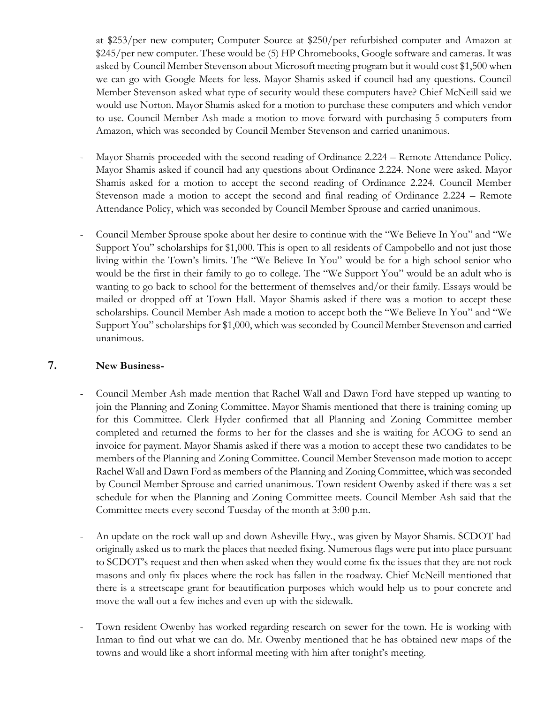at \$253/per new computer; Computer Source at \$250/per refurbished computer and Amazon at \$245/per new computer. These would be (5) HP Chromebooks, Google software and cameras. It was asked by Council Member Stevenson about Microsoft meeting program but it would cost \$1,500 when we can go with Google Meets for less. Mayor Shamis asked if council had any questions. Council Member Stevenson asked what type of security would these computers have? Chief McNeill said we would use Norton. Mayor Shamis asked for a motion to purchase these computers and which vendor to use. Council Member Ash made a motion to move forward with purchasing 5 computers from Amazon, which was seconded by Council Member Stevenson and carried unanimous.

- Mayor Shamis proceeded with the second reading of Ordinance 2.224 Remote Attendance Policy. Mayor Shamis asked if council had any questions about Ordinance 2.224. None were asked. Mayor Shamis asked for a motion to accept the second reading of Ordinance 2.224. Council Member Stevenson made a motion to accept the second and final reading of Ordinance 2.224 – Remote Attendance Policy, which was seconded by Council Member Sprouse and carried unanimous.
- Council Member Sprouse spoke about her desire to continue with the "We Believe In You" and "We Support You" scholarships for \$1,000. This is open to all residents of Campobello and not just those living within the Town's limits. The "We Believe In You" would be for a high school senior who would be the first in their family to go to college. The "We Support You" would be an adult who is wanting to go back to school for the betterment of themselves and/or their family. Essays would be mailed or dropped off at Town Hall. Mayor Shamis asked if there was a motion to accept these scholarships. Council Member Ash made a motion to accept both the "We Believe In You" and "We Support You" scholarships for \$1,000, which was seconded by Council Member Stevenson and carried unanimous.

### **7. New Business-**

- Council Member Ash made mention that Rachel Wall and Dawn Ford have stepped up wanting to join the Planning and Zoning Committee. Mayor Shamis mentioned that there is training coming up for this Committee. Clerk Hyder confirmed that all Planning and Zoning Committee member completed and returned the forms to her for the classes and she is waiting for ACOG to send an invoice for payment. Mayor Shamis asked if there was a motion to accept these two candidates to be members of the Planning and Zoning Committee. Council Member Stevenson made motion to accept Rachel Wall and Dawn Ford as members of the Planning and Zoning Committee, which was seconded by Council Member Sprouse and carried unanimous. Town resident Owenby asked if there was a set schedule for when the Planning and Zoning Committee meets. Council Member Ash said that the Committee meets every second Tuesday of the month at 3:00 p.m.
- An update on the rock wall up and down Asheville Hwy., was given by Mayor Shamis. SCDOT had originally asked us to mark the places that needed fixing. Numerous flags were put into place pursuant to SCDOT's request and then when asked when they would come fix the issues that they are not rock masons and only fix places where the rock has fallen in the roadway. Chief McNeill mentioned that there is a streetscape grant for beautification purposes which would help us to pour concrete and move the wall out a few inches and even up with the sidewalk.
- Town resident Owenby has worked regarding research on sewer for the town. He is working with Inman to find out what we can do. Mr. Owenby mentioned that he has obtained new maps of the towns and would like a short informal meeting with him after tonight's meeting.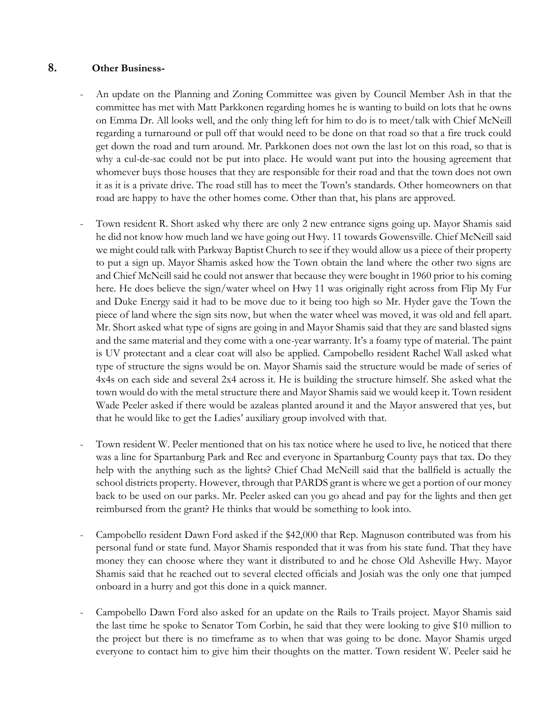## **8. Other Business-**

- An update on the Planning and Zoning Committee was given by Council Member Ash in that the committee has met with Matt Parkkonen regarding homes he is wanting to build on lots that he owns on Emma Dr. All looks well, and the only thing left for him to do is to meet/talk with Chief McNeill regarding a turnaround or pull off that would need to be done on that road so that a fire truck could get down the road and turn around. Mr. Parkkonen does not own the last lot on this road, so that is why a cul-de-sac could not be put into place. He would want put into the housing agreement that whomever buys those houses that they are responsible for their road and that the town does not own it as it is a private drive. The road still has to meet the Town's standards. Other homeowners on that road are happy to have the other homes come. Other than that, his plans are approved.
- Town resident R. Short asked why there are only 2 new entrance signs going up. Mayor Shamis said he did not know how much land we have going out Hwy. 11 towards Gowensville. Chief McNeill said we might could talk with Parkway Baptist Church to see if they would allow us a piece of their property to put a sign up. Mayor Shamis asked how the Town obtain the land where the other two signs are and Chief McNeill said he could not answer that because they were bought in 1960 prior to his coming here. He does believe the sign/water wheel on Hwy 11 was originally right across from Flip My Fur and Duke Energy said it had to be move due to it being too high so Mr. Hyder gave the Town the piece of land where the sign sits now, but when the water wheel was moved, it was old and fell apart. Mr. Short asked what type of signs are going in and Mayor Shamis said that they are sand blasted signs and the same material and they come with a one-year warranty. It's a foamy type of material. The paint is UV protectant and a clear coat will also be applied. Campobello resident Rachel Wall asked what type of structure the signs would be on. Mayor Shamis said the structure would be made of series of 4x4s on each side and several 2x4 across it. He is building the structure himself. She asked what the town would do with the metal structure there and Mayor Shamis said we would keep it. Town resident Wade Peeler asked if there would be azaleas planted around it and the Mayor answered that yes, but that he would like to get the Ladies' auxiliary group involved with that.
- Town resident W. Peeler mentioned that on his tax notice where he used to live, he noticed that there was a line for Spartanburg Park and Rec and everyone in Spartanburg County pays that tax. Do they help with the anything such as the lights? Chief Chad McNeill said that the ballfield is actually the school districts property. However, through that PARDS grant is where we get a portion of our money back to be used on our parks. Mr. Peeler asked can you go ahead and pay for the lights and then get reimbursed from the grant? He thinks that would be something to look into.
- Campobello resident Dawn Ford asked if the \$42,000 that Rep. Magnuson contributed was from his personal fund or state fund. Mayor Shamis responded that it was from his state fund. That they have money they can choose where they want it distributed to and he chose Old Asheville Hwy. Mayor Shamis said that he reached out to several elected officials and Josiah was the only one that jumped onboard in a hurry and got this done in a quick manner.
- Campobello Dawn Ford also asked for an update on the Rails to Trails project. Mayor Shamis said the last time he spoke to Senator Tom Corbin, he said that they were looking to give \$10 million to the project but there is no timeframe as to when that was going to be done. Mayor Shamis urged everyone to contact him to give him their thoughts on the matter. Town resident W. Peeler said he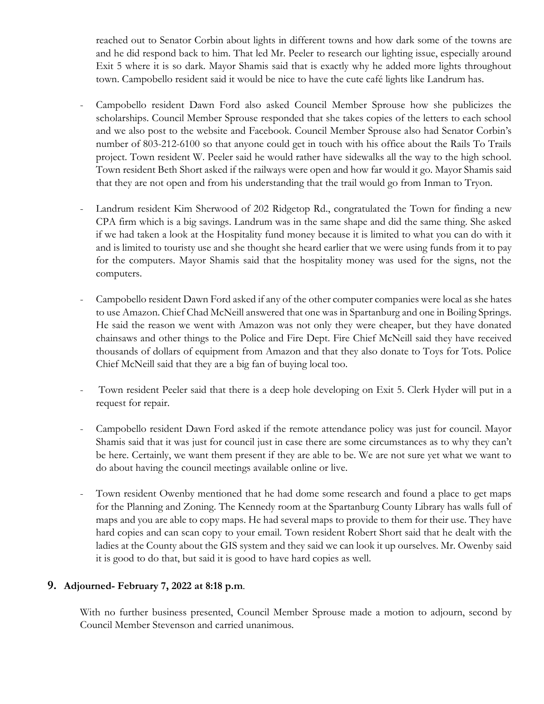reached out to Senator Corbin about lights in different towns and how dark some of the towns are and he did respond back to him. That led Mr. Peeler to research our lighting issue, especially around Exit 5 where it is so dark. Mayor Shamis said that is exactly why he added more lights throughout town. Campobello resident said it would be nice to have the cute café lights like Landrum has.

- Campobello resident Dawn Ford also asked Council Member Sprouse how she publicizes the scholarships. Council Member Sprouse responded that she takes copies of the letters to each school and we also post to the website and Facebook. Council Member Sprouse also had Senator Corbin's number of 803-212-6100 so that anyone could get in touch with his office about the Rails To Trails project. Town resident W. Peeler said he would rather have sidewalks all the way to the high school. Town resident Beth Short asked if the railways were open and how far would it go. Mayor Shamis said that they are not open and from his understanding that the trail would go from Inman to Tryon.
- Landrum resident Kim Sherwood of 202 Ridgetop Rd., congratulated the Town for finding a new CPA firm which is a big savings. Landrum was in the same shape and did the same thing. She asked if we had taken a look at the Hospitality fund money because it is limited to what you can do with it and is limited to touristy use and she thought she heard earlier that we were using funds from it to pay for the computers. Mayor Shamis said that the hospitality money was used for the signs, not the computers.
- Campobello resident Dawn Ford asked if any of the other computer companies were local as she hates to use Amazon. Chief Chad McNeill answered that one was in Spartanburg and one in Boiling Springs. He said the reason we went with Amazon was not only they were cheaper, but they have donated chainsaws and other things to the Police and Fire Dept. Fire Chief McNeill said they have received thousands of dollars of equipment from Amazon and that they also donate to Toys for Tots. Police Chief McNeill said that they are a big fan of buying local too.
- Town resident Peeler said that there is a deep hole developing on Exit 5. Clerk Hyder will put in a request for repair.
- Campobello resident Dawn Ford asked if the remote attendance policy was just for council. Mayor Shamis said that it was just for council just in case there are some circumstances as to why they can't be here. Certainly, we want them present if they are able to be. We are not sure yet what we want to do about having the council meetings available online or live.
- Town resident Owenby mentioned that he had dome some research and found a place to get maps for the Planning and Zoning. The Kennedy room at the Spartanburg County Library has walls full of maps and you are able to copy maps. He had several maps to provide to them for their use. They have hard copies and can scan copy to your email. Town resident Robert Short said that he dealt with the ladies at the County about the GIS system and they said we can look it up ourselves. Mr. Owenby said it is good to do that, but said it is good to have hard copies as well.

## **9. Adjourned- February 7, 2022 at 8:18 p.m**.

With no further business presented, Council Member Sprouse made a motion to adjourn, second by Council Member Stevenson and carried unanimous.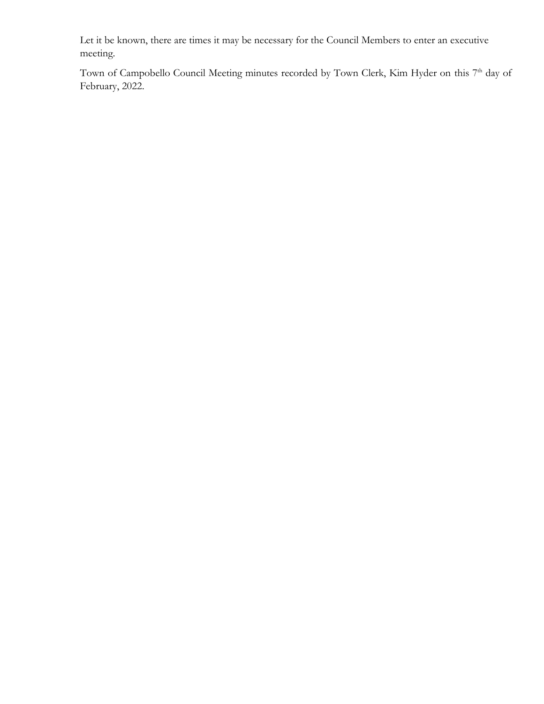Let it be known, there are times it may be necessary for the Council Members to enter an executive meeting.

Town of Campobello Council Meeting minutes recorded by Town Clerk, Kim Hyder on this 7<sup>th</sup> day of February, 2022.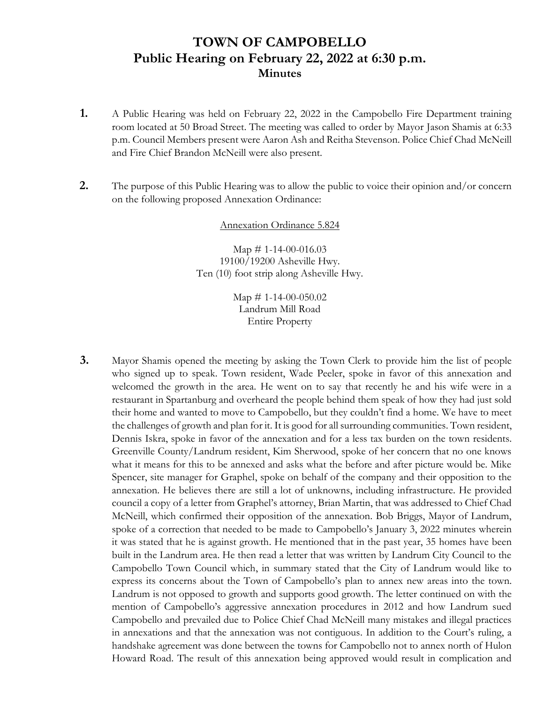## **TOWN OF CAMPOBELLO Public Hearing on February 22, 2022 at 6:30 p.m. Minutes**

- **1.** A Public Hearing was held on February 22, 2022 in the Campobello Fire Department training room located at 50 Broad Street. The meeting was called to order by Mayor Jason Shamis at 6:33 p.m. Council Members present were Aaron Ash and Reitha Stevenson. Police Chief Chad McNeill and Fire Chief Brandon McNeill were also present.
- **2.** The purpose of this Public Hearing was to allow the public to voice their opinion and/or concern on the following proposed Annexation Ordinance:

#### Annexation Ordinance 5.824

Map  $\#$  1-14-00-016.03 19100/19200 Asheville Hwy. Ten (10) foot strip along Asheville Hwy.

> Map  $\#$  1-14-00-050.02 Landrum Mill Road Entire Property

**3.** Mayor Shamis opened the meeting by asking the Town Clerk to provide him the list of people who signed up to speak. Town resident, Wade Peeler, spoke in favor of this annexation and welcomed the growth in the area. He went on to say that recently he and his wife were in a restaurant in Spartanburg and overheard the people behind them speak of how they had just sold their home and wanted to move to Campobello, but they couldn't find a home. We have to meet the challenges of growth and plan for it. It is good for all surrounding communities. Town resident, Dennis Iskra, spoke in favor of the annexation and for a less tax burden on the town residents. Greenville County/Landrum resident, Kim Sherwood, spoke of her concern that no one knows what it means for this to be annexed and asks what the before and after picture would be. Mike Spencer, site manager for Graphel, spoke on behalf of the company and their opposition to the annexation. He believes there are still a lot of unknowns, including infrastructure. He provided council a copy of a letter from Graphel's attorney, Brian Martin, that was addressed to Chief Chad McNeill, which confirmed their opposition of the annexation. Bob Briggs, Mayor of Landrum, spoke of a correction that needed to be made to Campobello's January 3, 2022 minutes wherein it was stated that he is against growth. He mentioned that in the past year, 35 homes have been built in the Landrum area. He then read a letter that was written by Landrum City Council to the Campobello Town Council which, in summary stated that the City of Landrum would like to express its concerns about the Town of Campobello's plan to annex new areas into the town. Landrum is not opposed to growth and supports good growth. The letter continued on with the mention of Campobello's aggressive annexation procedures in 2012 and how Landrum sued Campobello and prevailed due to Police Chief Chad McNeill many mistakes and illegal practices in annexations and that the annexation was not contiguous. In addition to the Court's ruling, a handshake agreement was done between the towns for Campobello not to annex north of Hulon Howard Road. The result of this annexation being approved would result in complication and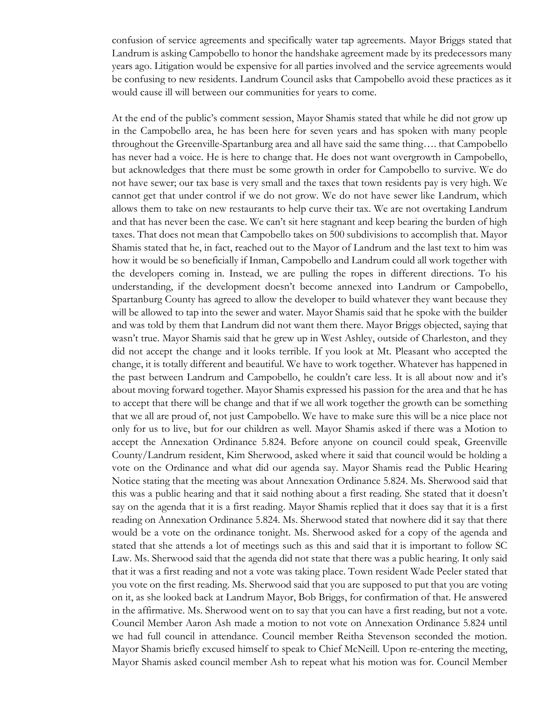confusion of service agreements and specifically water tap agreements. Mayor Briggs stated that Landrum is asking Campobello to honor the handshake agreement made by its predecessors many years ago. Litigation would be expensive for all parties involved and the service agreements would be confusing to new residents. Landrum Council asks that Campobello avoid these practices as it would cause ill will between our communities for years to come.

At the end of the public's comment session, Mayor Shamis stated that while he did not grow up in the Campobello area, he has been here for seven years and has spoken with many people throughout the Greenville-Spartanburg area and all have said the same thing…. that Campobello has never had a voice. He is here to change that. He does not want overgrowth in Campobello, but acknowledges that there must be some growth in order for Campobello to survive. We do not have sewer; our tax base is very small and the taxes that town residents pay is very high. We cannot get that under control if we do not grow. We do not have sewer like Landrum, which allows them to take on new restaurants to help curve their tax. We are not overtaking Landrum and that has never been the case. We can't sit here stagnant and keep bearing the burden of high taxes. That does not mean that Campobello takes on 500 subdivisions to accomplish that. Mayor Shamis stated that he, in fact, reached out to the Mayor of Landrum and the last text to him was how it would be so beneficially if Inman, Campobello and Landrum could all work together with the developers coming in. Instead, we are pulling the ropes in different directions. To his understanding, if the development doesn't become annexed into Landrum or Campobello, Spartanburg County has agreed to allow the developer to build whatever they want because they will be allowed to tap into the sewer and water. Mayor Shamis said that he spoke with the builder and was told by them that Landrum did not want them there. Mayor Briggs objected, saying that wasn't true. Mayor Shamis said that he grew up in West Ashley, outside of Charleston, and they did not accept the change and it looks terrible. If you look at Mt. Pleasant who accepted the change, it is totally different and beautiful. We have to work together. Whatever has happened in the past between Landrum and Campobello, he couldn't care less. It is all about now and it's about moving forward together. Mayor Shamis expressed his passion for the area and that he has to accept that there will be change and that if we all work together the growth can be something that we all are proud of, not just Campobello. We have to make sure this will be a nice place not only for us to live, but for our children as well. Mayor Shamis asked if there was a Motion to accept the Annexation Ordinance 5.824. Before anyone on council could speak, Greenville County/Landrum resident, Kim Sherwood, asked where it said that council would be holding a vote on the Ordinance and what did our agenda say. Mayor Shamis read the Public Hearing Notice stating that the meeting was about Annexation Ordinance 5.824. Ms. Sherwood said that this was a public hearing and that it said nothing about a first reading. She stated that it doesn't say on the agenda that it is a first reading. Mayor Shamis replied that it does say that it is a first reading on Annexation Ordinance 5.824. Ms. Sherwood stated that nowhere did it say that there would be a vote on the ordinance tonight. Ms. Sherwood asked for a copy of the agenda and stated that she attends a lot of meetings such as this and said that it is important to follow SC Law. Ms. Sherwood said that the agenda did not state that there was a public hearing. It only said that it was a first reading and not a vote was taking place. Town resident Wade Peeler stated that you vote on the first reading. Ms. Sherwood said that you are supposed to put that you are voting on it, as she looked back at Landrum Mayor, Bob Briggs, for confirmation of that. He answered in the affirmative. Ms. Sherwood went on to say that you can have a first reading, but not a vote. Council Member Aaron Ash made a motion to not vote on Annexation Ordinance 5.824 until we had full council in attendance. Council member Reitha Stevenson seconded the motion. Mayor Shamis briefly excused himself to speak to Chief McNeill. Upon re-entering the meeting, Mayor Shamis asked council member Ash to repeat what his motion was for. Council Member